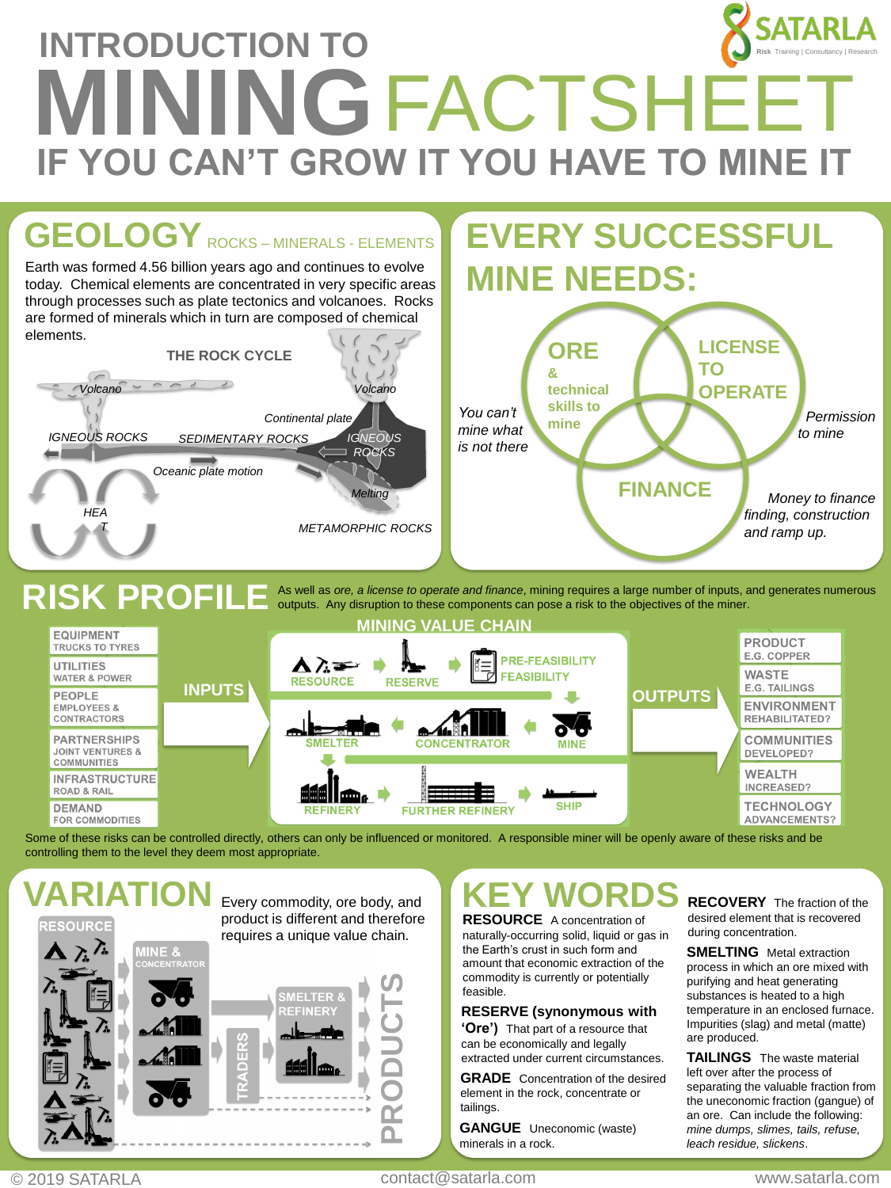### **INTRODUCTION TO MINING**FACTSHEET **IF YOU CAN'T GROW IT YOU HAVE TO MINE I Risk** Training | Consultancy | Research



### **RISK PROFILE** As well as *ore, a license to operate and finance*, mining requires a large number of inputs, and generates numerous outputs. Any disruption to these components can pose a risk to the objectives of the miner.

| <b>MINING VALUE CHAIN</b>                                                |               |                                                                                                                                                |                                             |                                    |
|--------------------------------------------------------------------------|---------------|------------------------------------------------------------------------------------------------------------------------------------------------|---------------------------------------------|------------------------------------|
| <b>EQUIPMENT</b><br><b>TRUCKS TO TYRES</b>                               |               | <b>PRE-FEASIBILITY</b>                                                                                                                         |                                             | <b>PRODUCT</b><br>E.G. COPPER      |
| <b>UTILITIES</b><br><b>WATER &amp; POWER</b>                             | <b>INPUTS</b> | $\blacktriangle$ $\lambda$ and $\blacktriangleright$<br>m.<br>$\overline{\nabla}$ .<br><b>FEASIBILITY</b><br><b>RESOURCE</b><br><b>RESERVE</b> | <b>WASTE</b><br><b>E.G. TAILINGS</b>        |                                    |
| <b>PEOPLE</b><br><b>EMPLOYEES &amp;</b><br><b>CONTRACTORS</b>            |               | <b>OUTPUTS</b><br>$\mathbf{\delta}$<br><b>SMELTER</b><br><b>CONCENTRATOR</b><br><b>MINE</b>                                                    | <b>ENVIRONMENT</b><br><b>REHABILITATED?</b> |                                    |
| <b>PARTNERSHIPS</b><br><b>JOINT VENTURES &amp;</b><br><b>COMMUNITIES</b> |               |                                                                                                                                                | <b>COMMUNITIES</b><br>DEVELOPED?            |                                    |
| <b>INFRASTRUCTURE</b><br><b>ROAD &amp; RAIL</b>                          |               | ا عهد<br>lumz                                                                                                                                  |                                             | <b>WEALTH</b><br><b>INCREASED?</b> |
| <b>DEMAND</b><br><b>FOR COMMODITIES</b>                                  |               | <b>SHIP</b><br><b>REFINERY</b><br><b>FURTHER REFINERY</b>                                                                                      | <b>TECHNOLOGY</b><br><b>ADVANCEMENTS?</b>   |                                    |

Some of these risks can be controlled directly, others can only be influenced or monitored. A responsible miner will be openly aware of these risks and be controlling them to the level they deem most appropriate.

RESOURCE

product is different and therefore requires a unique value chain.



### **VARIATION** Every commodity, ore body, and **KEY WORDS**

**RESOURCE** A concentration of naturally-occurring solid, liquid or gas in the Earth's crust in such form and amount that economic extraction of the commodity is currently or potentially feasible.

### **RESERVE (synonymous with**

**'Ore')** That part of a resource that can be economically and legally extracted under current circumstances.

**GRADE** Concentration of the desired element in the rock, concentrate or tailings.

**GANGUE** Uneconomic (waste) minerals in a rock.

**RECOVERY** The fraction of the desired element that is recovered during concentration.

**SMELTING** Metal extraction process in which an ore mixed with purifying and heat generating substances is heated to a high temperature in an enclosed furnace. Impurities (slag) and metal (matte) are produced.

**TAILINGS** The waste material left over after the process of separating the valuable fraction from the uneconomic fraction (gangue) of an ore. Can include the following: *mine dumps, slimes, tails, refuse, leach residue, slickens*.